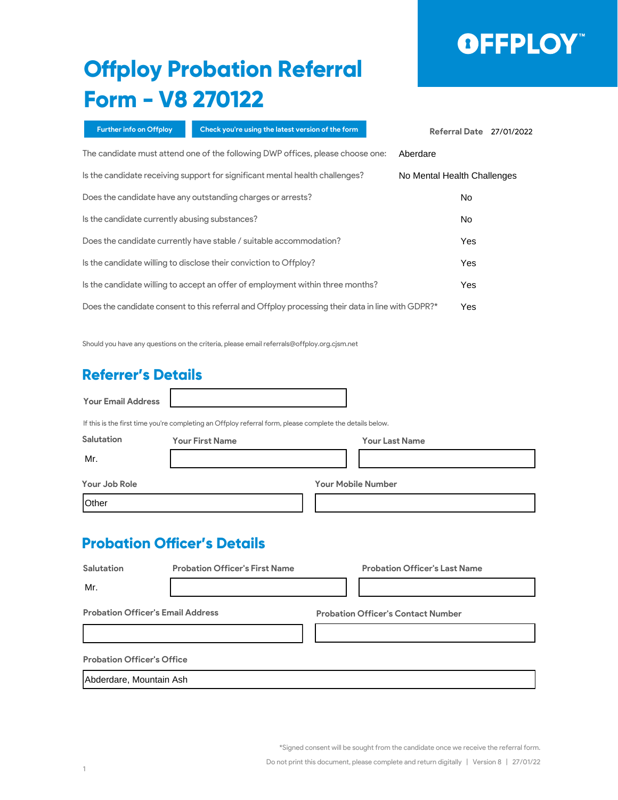# OFFPLOY"

### **Offploy Probation Referral Form - V8 270122**

| Further info on Offploy                        | Check you're using the latest version of the form                                                        |                       | Referral Date 27/01/2022    |  |
|------------------------------------------------|----------------------------------------------------------------------------------------------------------|-----------------------|-----------------------------|--|
|                                                | The candidate must attend one of the following DWP offices, please choose one:                           |                       | Aberdare                    |  |
|                                                | Is the candidate receiving support for significant mental health challenges?                             |                       | No Mental Health Challenges |  |
|                                                | Does the candidate have any outstanding charges or arrests?                                              |                       | No                          |  |
| Is the candidate currently abusing substances? |                                                                                                          |                       | No                          |  |
|                                                | Does the candidate currently have stable / suitable accommodation?                                       |                       | Yes                         |  |
|                                                | Is the candidate willing to disclose their conviction to Offploy?                                        |                       | Yes                         |  |
|                                                | Is the candidate willing to accept an offer of employment within three months?                           |                       | Yes                         |  |
|                                                | Does the candidate consent to this referral and Offploy processing their data in line with GDPR?*        |                       | Yes                         |  |
|                                                | Should you have any questions on the criteria, please email referrals@offploy.org.cjsm.net               |                       |                             |  |
| <b>Referrer's Details</b>                      |                                                                                                          |                       |                             |  |
| <b>Your Email Address</b>                      |                                                                                                          |                       |                             |  |
|                                                | If this is the first time you're completing an Offploy referral form, please complete the details below. |                       |                             |  |
| <b>Salutation</b>                              | <b>Your First Name</b>                                                                                   | <b>Your Last Name</b> |                             |  |
| Mr.                                            |                                                                                                          |                       |                             |  |

### **Referrer's Details**

|                                                                                | The candidate must attend one of the following DWP offices, please choose one:                           |                           | Aberdare                                  |  |
|--------------------------------------------------------------------------------|----------------------------------------------------------------------------------------------------------|---------------------------|-------------------------------------------|--|
|                                                                                | Is the candidate receiving support for significant mental health challenges?                             |                           | No Mental Health Challenges               |  |
|                                                                                | Does the candidate have any outstanding charges or arrests?                                              |                           | No                                        |  |
| Is the candidate currently abusing substances?                                 |                                                                                                          |                           | No                                        |  |
| Does the candidate currently have stable / suitable accommodation?             |                                                                                                          |                           | Yes                                       |  |
| Is the candidate willing to disclose their conviction to Offploy?              |                                                                                                          |                           | Yes                                       |  |
| Is the candidate willing to accept an offer of employment within three months? |                                                                                                          |                           | Yes                                       |  |
|                                                                                | Does the candidate consent to this referral and Offploy processing their data in line with GDPR?*        |                           | Yes                                       |  |
| <b>Referrer's Details</b><br><b>Your Email Address</b>                         | Should you have any questions on the criteria, please email referrals@offploy.org.cjsm.net               |                           |                                           |  |
|                                                                                | If this is the first time you're completing an Offploy referral form, please complete the details below. |                           |                                           |  |
| Salutation                                                                     | <b>Your First Name</b>                                                                                   |                           | <b>Your Last Name</b>                     |  |
| Mr.                                                                            |                                                                                                          |                           |                                           |  |
| Your Job Role                                                                  |                                                                                                          | <b>Your Mobile Number</b> |                                           |  |
| Other                                                                          |                                                                                                          |                           |                                           |  |
|                                                                                | <b>Probation Officer's Details</b>                                                                       |                           |                                           |  |
| <b>Salutation</b>                                                              | <b>Probation Officer's First Name</b>                                                                    |                           | <b>Probation Officer's Last Name</b>      |  |
| Mr.                                                                            |                                                                                                          |                           |                                           |  |
| <b>Probation Officer's Email Address</b>                                       |                                                                                                          |                           | <b>Probation Officer's Contact Number</b> |  |
|                                                                                |                                                                                                          |                           |                                           |  |
| <b>Probation Officer's Office</b>                                              |                                                                                                          |                           |                                           |  |
| Abderdare, Mountain Ash                                                        |                                                                                                          |                           |                                           |  |

\*Signed consent will be sought from the candidate once we receive the referral form.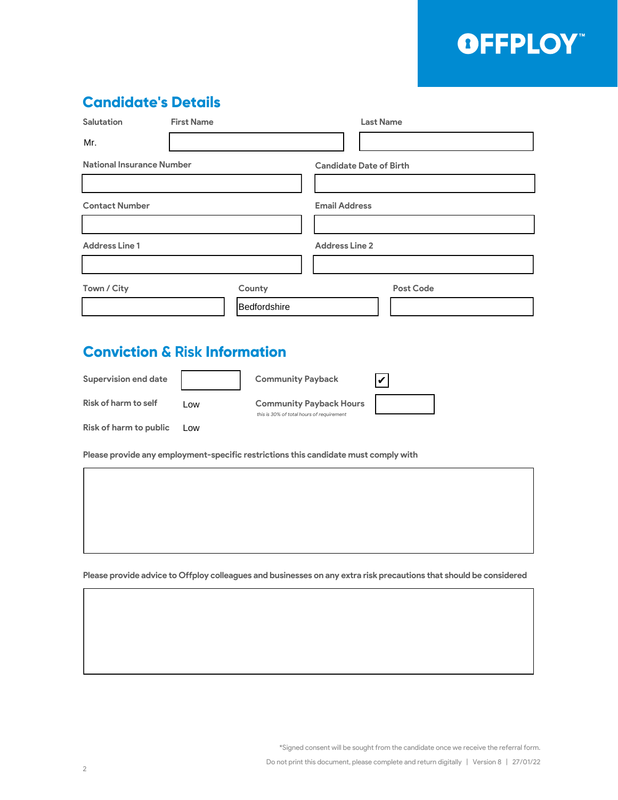### OFFPLOY"

#### **Candidate's Details**

| <b>Salutation</b>                | <b>First Name</b> | <b>Last Name</b>               |
|----------------------------------|-------------------|--------------------------------|
| Mr.                              |                   |                                |
| <b>National Insurance Number</b> |                   | <b>Candidate Date of Birth</b> |
|                                  |                   |                                |
| <b>Contact Number</b>            |                   | <b>Email Address</b>           |
|                                  |                   |                                |
| <b>Address Line 1</b>            |                   | <b>Address Line 2</b>          |
|                                  |                   |                                |
| Town / City                      | County            | <b>Post Code</b>               |
|                                  | Bedfordshire      |                                |

### **Conviction & Risk Information**

| <b>Supervision end date</b> |     | <b>Community Payback</b>                                                    |  |
|-----------------------------|-----|-----------------------------------------------------------------------------|--|
| <b>Risk of harm to self</b> | Low | <b>Community Payback Hours</b><br>this is 30% of total hours of requirement |  |
| Risk of harm to public      | Low |                                                                             |  |

**Please provide any employment-specific restrictions this candidate must comply with**

**Please provide advice to Offploy colleagues and businesses on any extra risk precautions that should be considered**

\*Signed consent will be sought from the candidate once we receive the referral form.